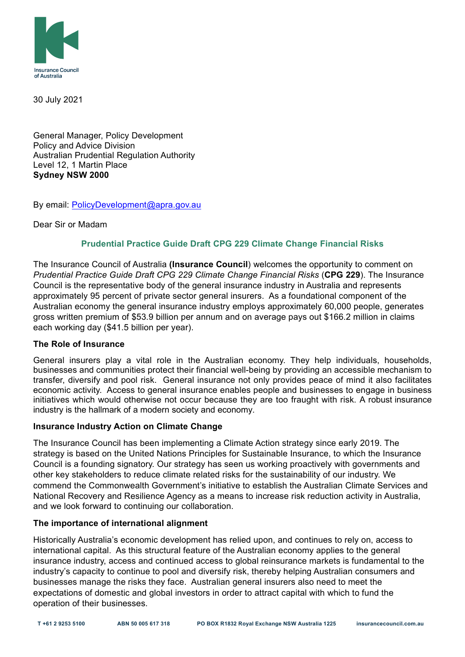

30 July 2021

General Manager, Policy Development Policy and Advice Division Australian Prudential Regulation Authority Level 12, 1 Martin Place **Sydney NSW 2000**

By email: PolicyDevelopment@apra.gov.au

Dear Sir or Madam

# **Prudential Practice Guide Draft CPG 229 Climate Change Financial Risks**

The Insurance Council of Australia **(Insurance Council**) welcomes the opportunity to comment on *Prudential Practice Guide Draft CPG 229 Climate Change Financial Risks* (**CPG 229**). The Insurance Council is the representative body of the general insurance industry in Australia and represents approximately 95 percent of private sector general insurers. As a foundational component of the Australian economy the general insurance industry employs approximately 60,000 people, generates gross written premium of \$53.9 billion per annum and on average pays out \$166.2 million in claims each working day (\$41.5 billion per year).

# **The Role of Insurance**

General insurers play a vital role in the Australian economy. They help individuals, households, businesses and communities protect their financial well-being by providing an accessible mechanism to transfer, diversify and pool risk. General insurance not only provides peace of mind it also facilitates economic activity. Access to general insurance enables people and businesses to engage in business initiatives which would otherwise not occur because they are too fraught with risk. A robust insurance industry is the hallmark of a modern society and economy.

### **Insurance Industry Action on Climate Change**

The Insurance Council has been implementing a Climate Action strategy since early 2019. The strategy is based on the United Nations Principles for Sustainable Insurance, to which the Insurance Council is a founding signatory. Our strategy has seen us working proactively with governments and other key stakeholders to reduce climate related risks for the sustainability of our industry. We commend the Commonwealth Government's initiative to establish the Australian Climate Services and National Recovery and Resilience Agency as a means to increase risk reduction activity in Australia, and we look forward to continuing our collaboration.

### **The importance of international alignment**

Historically Australia's economic development has relied upon, and continues to rely on, access to international capital. As this structural feature of the Australian economy applies to the general insurance industry, access and continued access to global reinsurance markets is fundamental to the industry's capacity to continue to pool and diversify risk, thereby helping Australian consumers and businesses manage the risks they face. Australian general insurers also need to meet the expectations of domestic and global investors in order to attract capital with which to fund the operation of their businesses.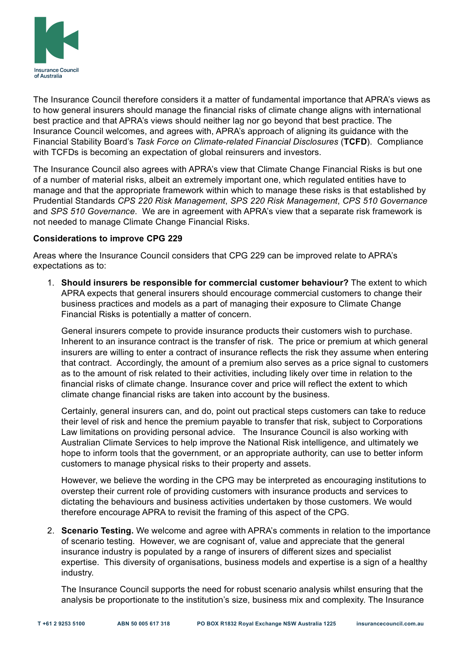

The Insurance Council therefore considers it a matter of fundamental importance that APRA's views as to how general insurers should manage the financial risks of climate change aligns with international best practice and that APRA's views should neither lag nor go beyond that best practice. The Insurance Council welcomes, and agrees with, APRA's approach of aligning its guidance with the Financial Stability Board's *Task Force on Climate-related Financial Disclosures* (**TCFD**). Compliance with TCFDs is becoming an expectation of global reinsurers and investors.

The Insurance Council also agrees with APRA's view that Climate Change Financial Risks is but one of a number of material risks, albeit an extremely important one, which regulated entities have to manage and that the appropriate framework within which to manage these risks is that established by Prudential Standards *CPS 220 Risk Management*, *SPS 220 Risk Management*, *CPS 510 Governance* and *SPS 510 Governance*. We are in agreement with APRA's view that a separate risk framework is not needed to manage Climate Change Financial Risks.

# **Considerations to improve CPG 229**

Areas where the Insurance Council considers that CPG 229 can be improved relate to APRA's expectations as to:

1. **Should insurers be responsible for commercial customer behaviour?** The extent to which APRA expects that general insurers should encourage commercial customers to change their business practices and models as a part of managing their exposure to Climate Change Financial Risks is potentially a matter of concern.

General insurers compete to provide insurance products their customers wish to purchase. Inherent to an insurance contract is the transfer of risk. The price or premium at which general insurers are willing to enter a contract of insurance reflects the risk they assume when entering that contract. Accordingly, the amount of a premium also serves as a price signal to customers as to the amount of risk related to their activities, including likely over time in relation to the financial risks of climate change. Insurance cover and price will reflect the extent to which climate change financial risks are taken into account by the business.

Certainly, general insurers can, and do, point out practical steps customers can take to reduce their level of risk and hence the premium payable to transfer that risk, subject to Corporations Law limitations on providing personal advice. The Insurance Council is also working with Australian Climate Services to help improve the National Risk intelligence, and ultimately we hope to inform tools that the government, or an appropriate authority, can use to better inform customers to manage physical risks to their property and assets.

However, we believe the wording in the CPG may be interpreted as encouraging institutions to overstep their current role of providing customers with insurance products and services to dictating the behaviours and business activities undertaken by those customers. We would therefore encourage APRA to revisit the framing of this aspect of the CPG.

2. **Scenario Testing.** We welcome and agree with APRA's comments in relation to the importance of scenario testing. However, we are cognisant of, value and appreciate that the general insurance industry is populated by a range of insurers of different sizes and specialist expertise. This diversity of organisations, business models and expertise is a sign of a healthy industry.

The Insurance Council supports the need for robust scenario analysis whilst ensuring that the analysis be proportionate to the institution's size, business mix and complexity. The Insurance